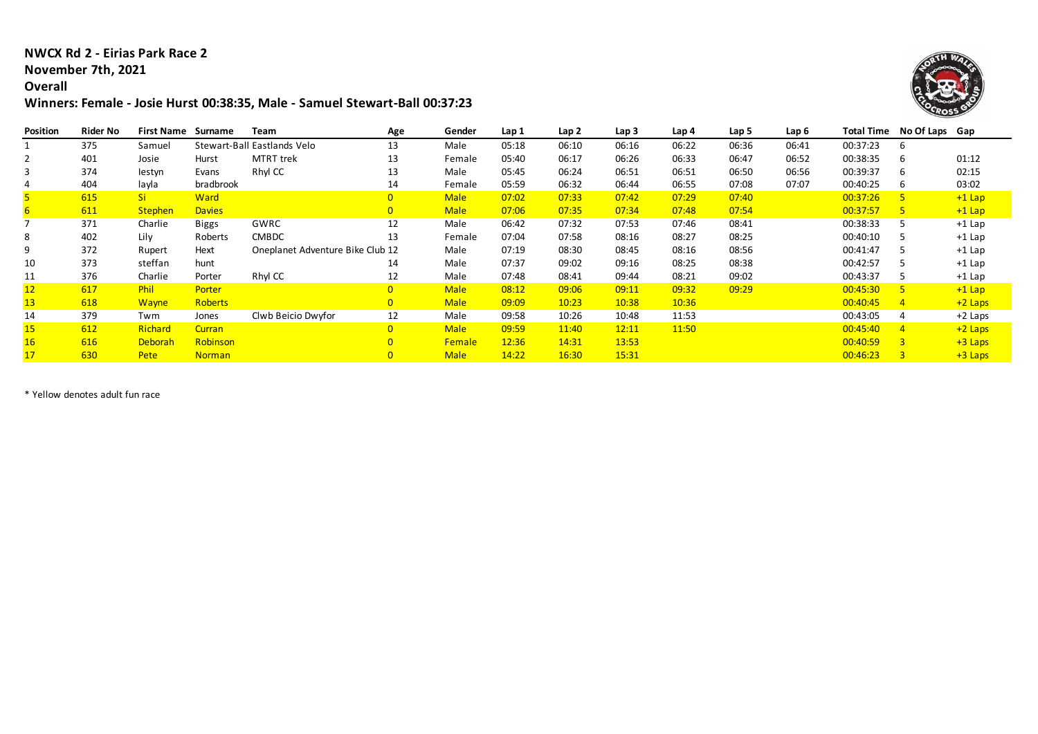#### **NWCX Rd 2 - Eirias Park Race 2**

# **November 7th, 2021**

## **Overall**

### **Winners: Female - Josie Hurst 00:38:35, Male - Samuel Stewart-Ball 00:37:23**



| <b>Position</b> | <b>Rider No</b> | <b>First Name</b> | Surname        | Team                             | Age            | Gender        | Lap 1 | Lap 2 | Lap 3 | Lap 4 | Lap 5 | Lap 6 | Total Time | No Of Laps Gap |           |
|-----------------|-----------------|-------------------|----------------|----------------------------------|----------------|---------------|-------|-------|-------|-------|-------|-------|------------|----------------|-----------|
|                 | 375             | Samuel            |                | Stewart-Ball Eastlands Velo      | 13             | Male          | 05:18 | 06:10 | 06:16 | 06:22 | 06:36 | 06:41 | 00:37:23   | 6              |           |
|                 | 401             | Josie             | Hurst          | <b>MTRT</b> trek                 | 13             | Female        | 05:40 | 06:17 | 06:26 | 06:33 | 06:47 | 06:52 | 00:38:35   | 6              | 01:12     |
|                 | 374             | lestyn            | Evans          | Rhyl CC                          | 13             | Male          | 05:45 | 06:24 | 06:51 | 06:51 | 06:50 | 06:56 | 00:39:37   | 6              | 02:15     |
|                 | 404             | layla             | bradbrook      |                                  | 14             | Female        | 05:59 | 06:32 | 06:44 | 06:55 | 07:08 | 07:07 | 00:40:25   | 6              | 03:02     |
|                 | 615             | <b>Si</b>         | <b>Ward</b>    |                                  | $\overline{0}$ | <b>Male</b>   | 07:02 | 07:33 | 07:42 | 07:29 | 07:40 |       | 00:37:26   | 5.             | $+1$ Lap  |
|                 | 611             | <b>Stephen</b>    | <b>Davies</b>  |                                  | $\mathbf{0}$   | <b>Male</b>   | 07:06 | 07:35 | 07:34 | 07:48 | 07:54 |       | 00:37:57   | -5.            | $+1$ Lap  |
|                 | 371             | Charlie           | Biggs          | GWRC                             | 12             | Male          | 06:42 | 07:32 | 07:53 | 07:46 | 08:41 |       | 00:38:33   |                | $+1$ Lap  |
|                 | 402             | Lilv              | Roberts        | <b>CMBDC</b>                     | 13             | Female        | 07:04 | 07:58 | 08:16 | 08:27 | 08:25 |       | 00:40:10   |                | $+1$ Lap  |
|                 | 372             | Rupert            | Hext           | Oneplanet Adventure Bike Club 12 |                | Male          | 07:19 | 08:30 | 08:45 | 08:16 | 08:56 |       | 00:41:47   |                | $+1$ Lap  |
| 10              | 373             | steffan           | hunt           |                                  | 14             | Male          | 07:37 | 09:02 | 09:16 | 08:25 | 08:38 |       | 00:42:57   |                | $+1$ Lap  |
| 11              | 376             | Charlie           | Porter         | Rhyl CC                          | 12             | Male          | 07:48 | 08:41 | 09:44 | 08:21 | 09:02 |       | 00:43:37   |                | $+1$ Lap  |
| 12 <sup>2</sup> | 617             | Phil              | Porter         |                                  | $\overline{0}$ | <b>Male</b>   | 08:12 | 09:06 | 09:11 | 09:32 | 09:29 |       | 00:45:30   | -5.            | $+1$ Lap  |
| 13              | 618             | <b>Wayne</b>      | <b>Roberts</b> |                                  | $\overline{0}$ | <b>Male</b>   | 09:09 | 10:23 | 10:38 | 10:36 |       |       | 00:40:45   | $\overline{4}$ | $+2$ Laps |
| 14              | 379             | Twm               | Jones          | Clwb Beicio Dwyfor               | 12             | Male          | 09:58 | 10:26 | 10:48 | 11:53 |       |       | 00:43:05   | 4              | +2 Laps   |
| 15              | 612             | Richard           | <b>Curran</b>  |                                  | $\overline{0}$ | <b>Male</b>   | 09:59 | 11:40 | 12:11 | 11:50 |       |       | 00:45:40   | $\overline{4}$ | $+2$ Laps |
|                 | 616             | Deborah           | Robinson       |                                  | $\overline{0}$ | <b>Female</b> | 12:36 | 14:31 | 13:53 |       |       |       | 00:40:59   | $\overline{3}$ | $+3$ Laps |
|                 | 630             | Pete              | <b>Norman</b>  |                                  | $\overline{0}$ | <b>Male</b>   | 14:22 | 16:30 | 15:31 |       |       |       | 00:46:23   | $\overline{3}$ | $+3$ Laps |

\* Yellow denotes adult fun race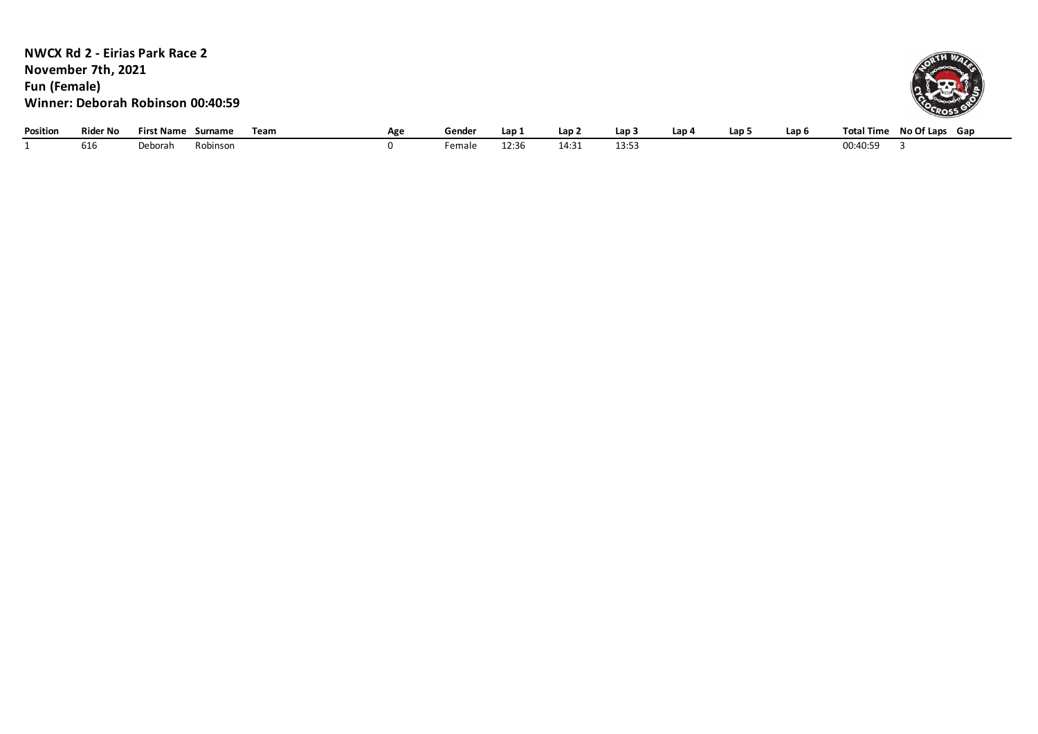| <b>Fun (Female)</b> | November 7th, 2021 | <b>NWCX Rd 2 - Eirias Park Race 2</b><br>Winner: Deborah Robinson 00:40:59 |          |      |     |        |       |       |                  |       |       |       |          |                           |
|---------------------|--------------------|----------------------------------------------------------------------------|----------|------|-----|--------|-------|-------|------------------|-------|-------|-------|----------|---------------------------|
| Position            | <b>Rider No</b>    | <b>First Name Surname</b>                                                  |          | Team | Age | Gender | Lap 1 | Lap 2 | Lap <sub>3</sub> | Lap 4 | Lap 5 | Lap 6 |          | Total Time No Of Laps Gap |
|                     | 616                | Deborah                                                                    | Robinson |      |     | Female | 12:36 | 14:31 | 13:53            |       |       |       | 00:40:59 |                           |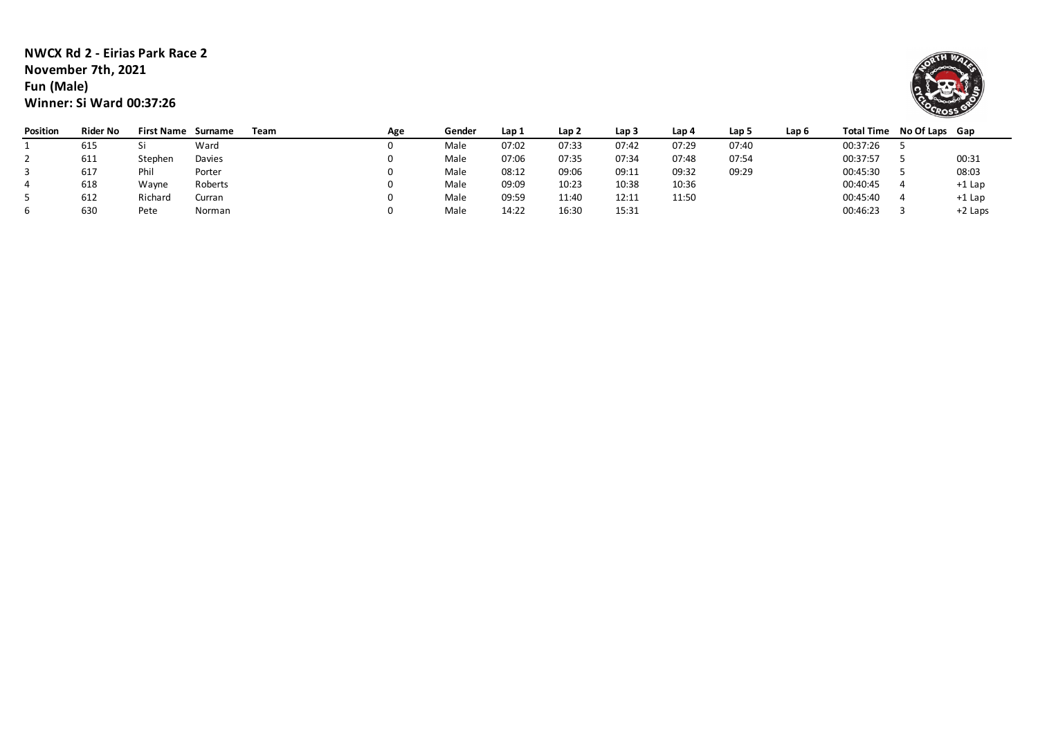#### **NWCX Rd 2 - Eirias Park Race 2 November 7th, 2021 Fun (Male) Winner: Si Ward 00:37:26**



| Position | <b>Rider No</b> | <b>First Name</b> | Surname | Team | Age | Gender | Lap 1 | Lap 2 | Lap 3 | Lap 4 | Lap 5 | Lap 6 | <b>Total Time</b> | No Of Laps | Gap       |
|----------|-----------------|-------------------|---------|------|-----|--------|-------|-------|-------|-------|-------|-------|-------------------|------------|-----------|
|          | 615             |                   | Ward    |      |     | Male   | 07:02 | 07:33 | 07:42 | 07:29 | 07:40 |       | 00:37:26          |            |           |
|          | 611             | Stephen           | Davies  |      |     | Male   | 07:06 | 07:35 | 07:34 | 07:48 | 07:54 |       | 00:37:57          |            | 00:31     |
|          | 617             | Phi               | Porter  |      |     | Male   | 08:12 | 09:06 | 09:11 | 09:32 | 09:29 |       | 00:45:30          |            | 08:03     |
|          | 618             | Wayne             | Roberts |      |     | Male   | 09:09 | 10:23 | 10:38 | 10:36 |       |       | 00:40:45          |            | $+1$ Lap  |
|          | 612             | Richard           | Curran  |      |     | Male   | 09:59 | 11:40 | 12:11 | 11:50 |       |       | 00:45:40          |            | $+1$ Lap  |
|          | 630             | Pete              | Norman  |      |     | Male   | 14:22 | 16:30 | 15:31 |       |       |       | 00:46:23          |            | $+2$ Laps |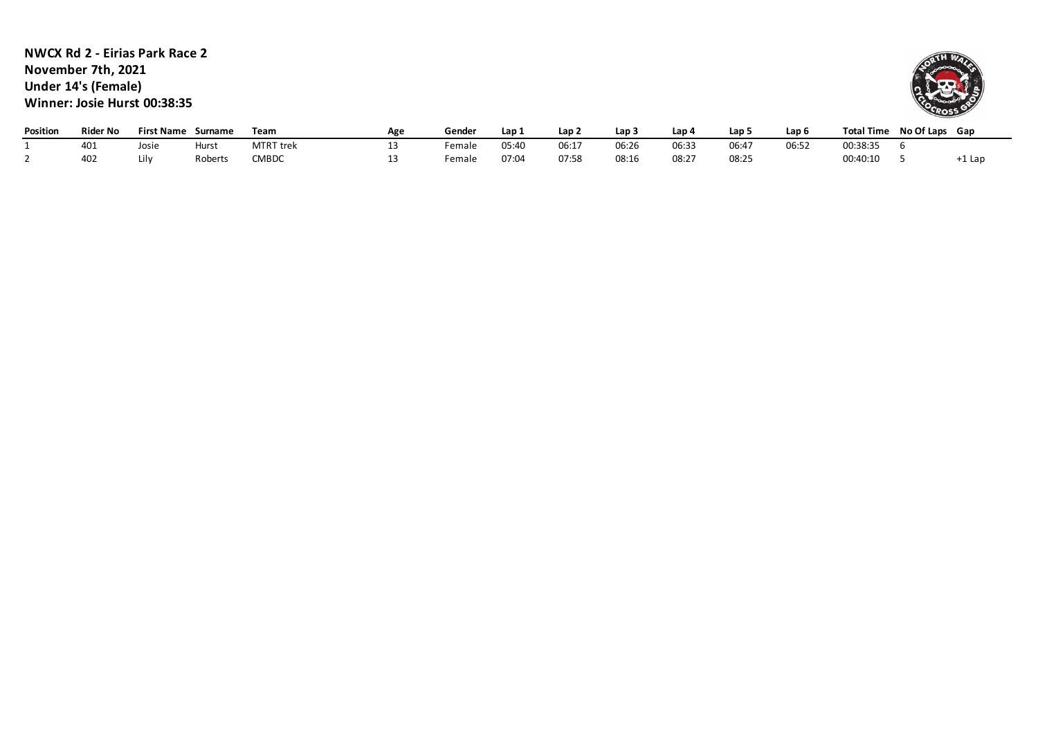**NWCX Rd 2 - Eirias Park Race 2 November 7th, 2021 Under 14's (Female) Winner: Josie Hurst 00:38:35**



| Position | <b>Rider No</b> | <b>First Name</b> | Surname | Team             | Age | Gender | Lap : | Lap 2 | Lap:  | Lap   | Lap   | Lap 6 | <b>Total Time</b> | No Of Laps Gap |        |
|----------|-----------------|-------------------|---------|------------------|-----|--------|-------|-------|-------|-------|-------|-------|-------------------|----------------|--------|
|          | 40⊥             | Josie             | Hurst   | <b>MTRT</b> trek |     | emale  | 05:40 | 06:17 | 06:26 | 06:33 | 06:47 | 06:52 | 00:38:35          |                |        |
|          | 40∠             |                   | Roberts | <b>CMBDC</b>     | ∸   | ∶emale | 07:04 | 07:58 | 08:16 | 08:27 | 08:25 |       | 00:40:10          |                | -1 Lar |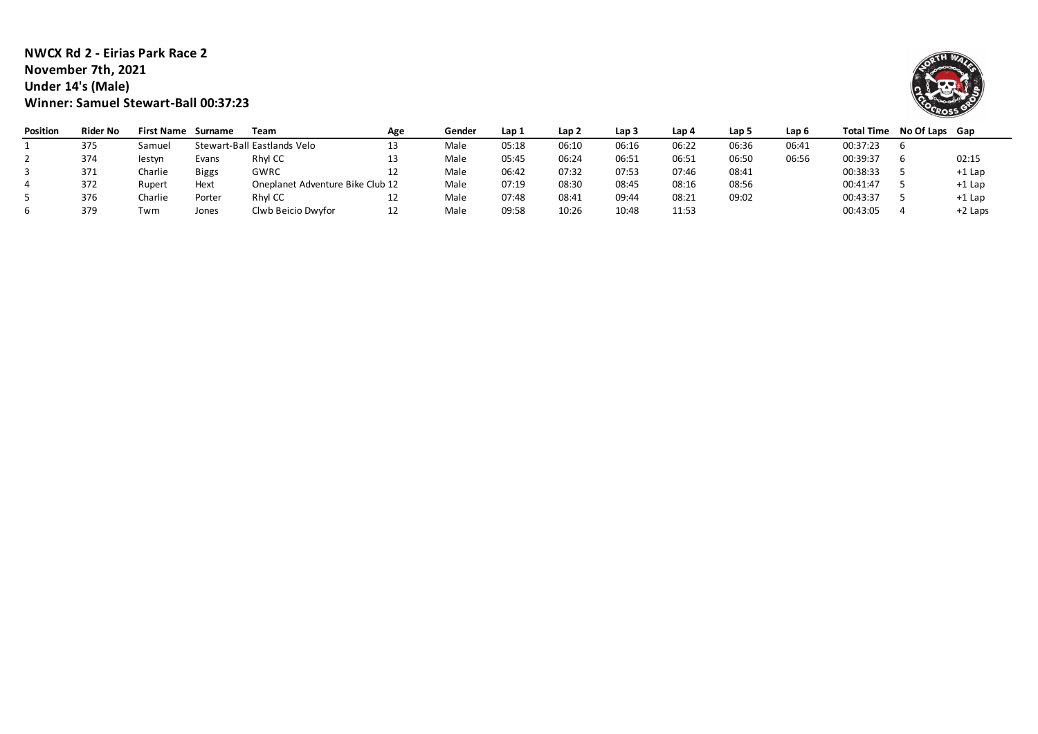#### **NWCX Rd 2 - Eirias Park Race 2 November 7th, 2021 Under 14's (Male) Winner: Samuel Stewart-Ball 00:37:23**



| <b>Position</b> | <b>Rider No</b> | <b>First Name</b> | Surname      | Team                             | Age | Gender | Lap 1 | Lap 2 | Lap 3 | Lap 4 | Lap 5 | Lap 6 | <b>Total Time</b> | No Of Laps | Gap       |
|-----------------|-----------------|-------------------|--------------|----------------------------------|-----|--------|-------|-------|-------|-------|-------|-------|-------------------|------------|-----------|
|                 | 375             | Samuei            |              | Stewart-Ball Eastlands Velo      | 13  | Male   | 05:18 | 06:10 | 06:16 | 06:22 | 06:36 | 06:41 | 00:37:23          |            |           |
|                 | 374             | lestyn            | Evans        | Rhyl CC                          | 13  | Male   | 05:45 | 06:24 | 06:51 | 06:51 | 06:50 | 06:56 | 00:39:37          |            | 02:15     |
|                 | 371             | Charlie           | <b>Biggs</b> | GWRC                             | 12  | Male   | 06:42 | 07:32 | 07:53 | 07:46 | 08:41 |       | 00:38:33          |            | $+1$ Lap  |
|                 | 372             | Rupert            | Hext         | Oneplanet Adventure Bike Club 12 |     | Male   | 07:19 | 08:30 | 08:45 | 08:16 | 08:56 |       | 00:41:47          |            | $+1$ Lap  |
|                 | 376             | Charlie           | Porter       | Rhyl CC                          | 12  | Male   | 07:48 | 08:41 | 09:44 | 08:21 | 09:02 |       | 00:43:37          |            | $+1$ Lap  |
|                 | 379             | Twm               | Jones        | Clwb Beicio Dwyfor               | 12  | Male   | 09:58 | 10:26 | 10:48 | 11:53 |       |       | 00:43:05          |            | $+2$ Laps |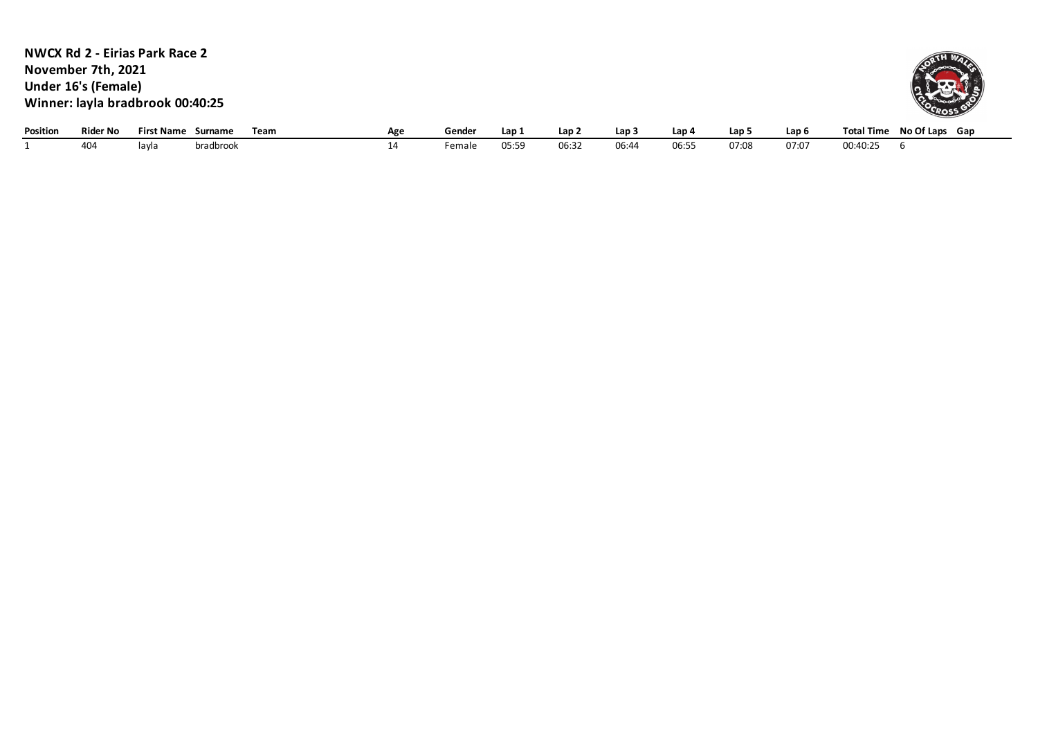**NWCX Rd 2 - Eirias Park Race 2** Position Rider No First Name Surname Team **1998 Age Gender Lap 1 Lap 2 Lap 3 Lap 4 Lap 5 Lap 6 Total Time No Of Laps Gap**<br>14 Female 05:59 06:32 06:44 06:55 07:08 07:07 00:40:25 6 1 404 layla bradbrook 14 Female 05:59 06:32 06:44 06:55 07:08 07:07 00:40:25 6 **November 7th, 2021 Under 16's (Female) Winner: layla bradbrook 00:40:25**